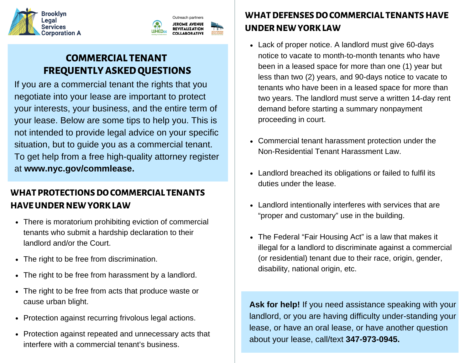



# **COMMERCIAL TENANT FREQUENTLYASKEDQUESTIONS**

If you are a commercial tenant the rights that you negotiate into your lease are important to protect your interests, your business, and the entire term of your lease. Below are some tips to help you. This is not intended to provide legal advice on your specific situation, but to guide you as a commercial tenant. To get help from a free high-quality attorney register at **www.nyc.gov/commlease.**

## **WHAT PROTECTIONSDOCOMMERCIAL TENANTS HAVEUNDER NEWYORKLAW**

- There is moratorium prohibiting eviction of commercial tenants who submit a hardship declaration to their landlord and/or the Court.
- The right to be free from discrimination.
- The right to be free from harassment by a landlord.
- The right to be free from acts that produce waste or cause urban blight.
- Protection against recurring frivolous legal actions.
- Protection against repeated and unnecessary acts that interfere with a commercial tenant's business.

## **WHATDEFENSESDOCOMMERCIAL TENANTS HAVE UNDER NEWYORKLAW**

- Lack of proper notice. A landlord must give 60-days notice to vacate to month-to-month tenants who have been in a leased space for more than one (1) year but less than two (2) years, and 90-days notice to vacate to tenants who have been in a leased space for more than two years. The landlord must serve a written 14-day rent demand before starting a summary nonpayment proceeding in court.
- Commercial tenant harassment protection under the Non-Residential Tenant Harassment Law.
- Landlord breached its obligations or failed to fulfil its duties under the lease.
- Landlord intentionally interferes with services that are "proper and customary" use in the building.
- The Federal "Fair Housing Act" is a law that makes it illegal for a landlord to discriminate against a commercial (or residential) tenant due to their race, origin, gender, disability, national origin, etc.

**Ask for help!** If you need assistance speaking with your landlord, or you are having difficulty under-standing your lease, or have an oral lease, or have another question about your lease, call/text **347-973-0945.**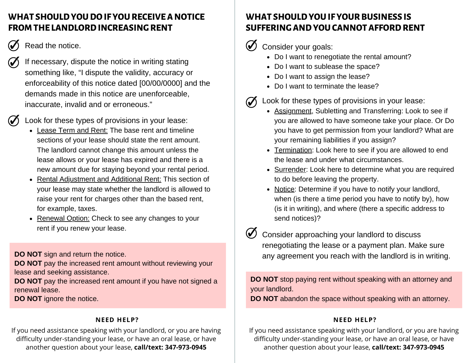### **WHAT SHOULDYOUDOIF YOURECEIVEA NOTICE FROM THE LANDLORD INCREASING RENT**

- Read the notice.
	- If necessary, dispute the notice in writing stating something like, "I dispute the validity, accuracy or enforceability of this notice dated [00/00/0000] and the demands made in this notice are unenforceable, inaccurate, invalid and or erroneous."

Look for these types of provisions in your lease:

- Lease Term and Rent: The base rent and timeline sections of your lease should state the rent amount. The landlord cannot change this amount unless the lease allows or your lease has expired and there is a new amount due for staying beyond your rental period.
- Rental Adjustment and Additional Rent: This section of your lease may state whether the landlord is allowed to raise your rent for charges other than the based rent, for example, taxes.
- Renewal Option: Check to see any changes to your rent if you renew your lease.

**DO NOT** sign and return the notice.

**DO NOT** pay the increased rent amount without reviewing your lease and seeking assistance.

**DO NOT** pay the increased rent amount if you have not signed a renewal lease.

**DO NOT** ignore the notice.

#### **NEED HELP?**

If you need assistance speaking with your landlord, or you are having difficulty under-standing your lease, or have an oral lease, or have another question about your lease, **call/text: 347-973-0945**

### **WHAT SHOULDYOUIF YOURBUSINESS IS SUFFERING AND YOU CANNOT AFFORD RENT**

 $\mathcal{J}$ Consider your goals:

- Do I want to renegotiate the rental amount?
- Do I want to sublease the space?
- Do I want to assign the lease?
- Do I want to terminate the lease?

Look for these types of provisions in your lease:

- Assignment, Subletting and Transferring: Look to see if you are allowed to have someone take your place. Or Do you have to get permission from your landlord? What are your remaining liabilities if you assign?
- Termination: Look here to see if you are allowed to end the lease and under what circumstances.
- Surrender: Look here to determine what you are required to do before leaving the property.
- Notice: Determine if you have to notify your landlord, when (is there a time period you have to notify by), how (is it in writing), and where (there a specific address to send notices)?

Consider approaching your landlord to discuss renegotiating the lease or a payment plan. Make sure any agreement you reach with the landlord is in writing.

**DO NOT** stop paying rent without speaking with an attorney and your landlord.

**DO NOT** abandon the space without speaking with an attorney.

#### **NEED HELP?**

If you need assistance speaking with your landlord, or you are having difficulty under-standing your lease, or have an oral lease, or have another question about your lease, **call/text: 347-973-0945**